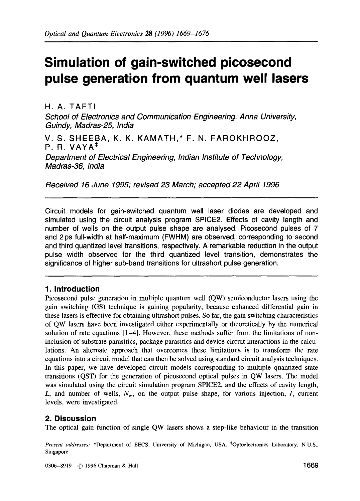# **Simulation of gain-switched picosecond pulse generation from quantum well lasers**

H. A. TAFTI

*Madras-36, India* 

*School of Electronics and Communication Engineering, Anna University, Guindy, Madras-25, India* 

V. S. SHEEBA, K. K. KAMATH,\* F. N. FAROKHROOZ,  $P. R. VAYA<sup>‡</sup>$ *Department of Electrical Engineering, Indian Institute of Technology,* 

*Received 16 June 1995; revised 23 March; accepted 22 April 1996* 

Circuit models for gain-switched quantum well laser diodes are developed and simulated using the circuit analysis program SPICE2. Effects of cavity length and number of wells on the output pulse shape are analysed. Picosecond pulses of 7 and 2 ps full-width at half-maximum (FWHM) are observed, corresponding to second and third quantized level transitions, respectively. A remarkable reduction in the output pulse width observed for the third quantized level transition, demonstrates the significance of higher sub-band transitions for ultrashort pulse generation.

## **1. Introduction**

Picosecond pulse generation in multiple quantum well (QW) semiconductor lasers using the gain switching (GS) technique is gaining popularity, because enhanced differential gain in these lasers is effective for obtaining ultrashort pulses. So far, the gain switching characteristics of QW lasers have been investigated either experimentally or theoretically by the numerical solution of rate equations  $[1-4]$ . However, these methods suffer from the limitations of noninclusion of substrate parasitics, package parasitics and device circuit interactions in the calculations. An alternate approach that overcomes these limitations is to transform the rate equations into a circuit model that can then be solved using standard circuit analysis techniques. In this paper, we have developed circuit models corresponding to multiple quantized state transitions (QST) for the generation of picosecond optical pulses in QW lasers. The model was simulated using the circuit simulation program SPICE2, and the effects of cavity length, L, and number of wells,  $N_w$ , on the output pulse shape, for various injection, I, current levels, were investigated.

## **2. Discussion**

The optical gain function of single QW lasers shows a step-like behaviour in the transition

*Present addresses:* \*Department of EECS, University of Michigan, USA. \*Optoelectronics Laboratory, N U.S.. Singapore.

0306-8919 ,C~ 1996 Chapman & Hall 1669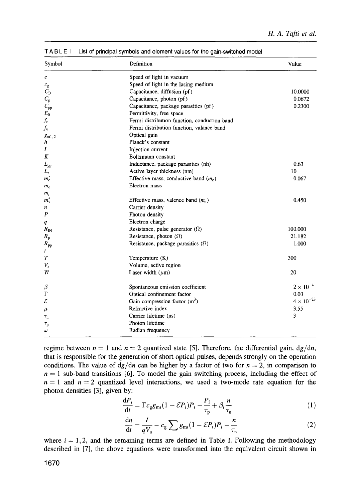| Symbol              | Definition                                   | Value               |
|---------------------|----------------------------------------------|---------------------|
| с                   | Speed of light in vacuum                     |                     |
| $c_{\rm g}$         | Speed of light in the lasing medium          |                     |
| $C_{\rm D}$         | Capacitance, diffusion (pf)                  | 10.0000             |
| $C_{\rm p}$         | Capacitance, photon (pf)                     | 0.0672              |
| $C_{\rm pp}$        | Capacitance, package parasitics (pf)         | 0.2300              |
| $E_0$               | Permittivity, free space                     |                     |
| $f_{\rm c}$         | Fermi distribution function, conduction band |                     |
| $f_{\rm v}$         | Fermi distribution function, valance band    |                     |
| $g_{m1,2}$          | Optical gain                                 |                     |
| h                   | Planck's constant                            |                     |
| Ι                   | Injection current                            |                     |
| Κ                   | Boltzmann constant                           |                     |
| $L_{\rm pp}$        | Inductance, package parasitics (nh)          | 0.63                |
| $L_{\rm z}$         | Active layer thickness (nm)                  | 10                  |
| $m_c^*$             | Effective mass, conductive band $(m_e)$      | 0.067               |
| $m_{\rm e}$         | Electron mass                                |                     |
| $m_{\rm r}$         |                                              |                     |
| $m_{\rm v}^*$       | Effective mass, valence band $(m_e)$         | 0.450               |
| n                   | Carrier density                              |                     |
| P                   | Photon density                               |                     |
| q                   | Electron charge                              |                     |
| $R_{\rm IN}$        | Resistance, pulse generator $(\Omega)$       | 100.000             |
| $R_{\rm p}$         | Resistance, photon $(\Omega)$                | 21.182              |
| $R_{\rm pp}$        | Resistance, package parasitics $(\Omega)$    | 1.000               |
| t                   |                                              |                     |
| T                   | Temperature (K)                              | 300                 |
| $V_{\rm a}$         | Volume, active region                        |                     |
| W                   | Laser width $(\mu m)$                        | 20                  |
| β                   | Spontaneous emission coefficient             | $2 \times 10^{-4}$  |
| г                   | Optical confinement factor                   | 0.03                |
| ε                   | Gain compression factor $(m^3)$              | $4 \times 10^{-23}$ |
| μ                   | Refractive index                             | 3.55                |
| $\tau_{\rm n}$      | Carrier lifetime (ns)                        | 3                   |
| $\tau_{\texttt{p}}$ | Photon lifetime                              |                     |
| ω                   | Radian frequency                             |                     |

**T A B L E I List of principal symbols** and element **values for the gain-switched** model

regime between  $n = 1$  and  $n = 2$  quantized state [5]. Therefore, the differential gain,  $\frac{dg}{dn}$ , that is responsible for the generation of short optical pulses, depends strongly on the operation conditions. The value of  $d*g*/d*n*$  can be higher by a factor of two for  $n = 2$ , in comparison to  $n = 1$  sub-band transitions [6]. To model the gain switching process, including the effect of  $n = 1$  and  $n = 2$  quantized level interactions, we used a two-mode rate equation for the photon densities [3], given by:

$$
\frac{\mathrm{d}P_i}{\mathrm{d}t} = \Gamma c_g g_{\mathrm{m}i} (1 - \mathcal{E}P_i) P_i - \frac{P_i}{\tau_{\mathrm{p}}} + \beta_i \frac{n}{\tau_{\mathrm{n}}} \tag{1}
$$

$$
\frac{\mathrm{d}n}{\mathrm{d}t} = \frac{I}{qV_{\rm a}} - c_{\rm g} \sum g_{\rm m} (1 - \mathcal{E}P_{\rm r}) P_{\rm i} - \frac{n}{\tau_{\rm n}} \tag{2}
$$

where  $i = 1, 2$ , and the remaining terms are defined in Table I. Following the methodology described in [7], the above equations were transformed into the equivalent circuit shown in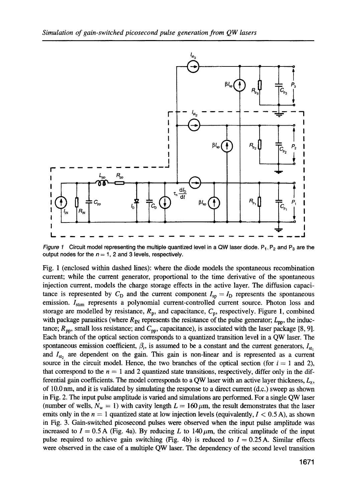

*Figure 1* Circuit model representing the multiple quantized level in a QW laser diode.  $P_1$ ,  $P_2$  and  $P_3$  are the output nodes for the  $n = 1$ , 2 and 3 levels, respectively.

Fig. 1 (enclosed within dashed lines): where the diode models the spontaneous recombination current; while the current generator, proportional to the time derivative of the spontaneous injection current, models the charge storage effects in the active layer. The diffusion capacitance is represented by  $C_D$  and the current component  $I_{so} = I_D$  represents the spontaneous emission.  $I_{\text{stim}}$  represents a polynomial current-controlled current source. Photon loss and storage are modelled by resistance,  $R_p$ , and capacitance,  $C_p$ , respectively. Figure 1, combined with package parasitics (where  $R_{\text{IN}}$  represents the resistance of the pulse generator;  $L_{\text{pp}}$ , the inductance;  $R_{\text{pp}}$ , small loss resistance; and  $C_{\text{pp}}$ , capacitance), is associated with the laser package [8, 9]. Each branch of the optical section corresponds to a quantized transition level in a QW laser. The spontaneous emission coefficient,  $\beta_i$ , is assumed to be a constant and the current generators,  $I_{\rm st}$ and  $I_{\rm st}$ , are dependent on the gain. This gain is non-linear and is represented as a current source in the circuit model. Hence, the two branches of the optical section (for  $i = 1$  and 2), that correspond to the  $n = 1$  and 2 quantized state transitions, respectively, differ only in the differential gain coefficients. The model corresponds to a QW laser with an active layer thickness,  $L_z$ , of 10.0 nm, and it is validated by simulating the response to a direct current (d.c.) sweep as shown in Fig. 2. The input pulse amplitude is varied and simulations are performed. For a single QW laser (number of wells,  $N_w = 1$ ) with cavity length  $L = 160 \,\mu\text{m}$ , the result demonstrates that the laser emits only in the  $n = 1$  quantized state at low injection levels (equivalently,  $I < 0.5$  A), as shown in Fig. 3. Gain-switched picosecond pulses were observed when the input pulse amplitude was increased to  $I = 0.5$  A (Fig. 4a). By reducing L to 140  $\mu$ m, the critical amplitude of the input pulse required to achieve gain switching (Fig. 4b) is reduced to  $I = 0.25$  A. Similar effects were observed in the case of a multiple QW laser. The dependency of the second level transition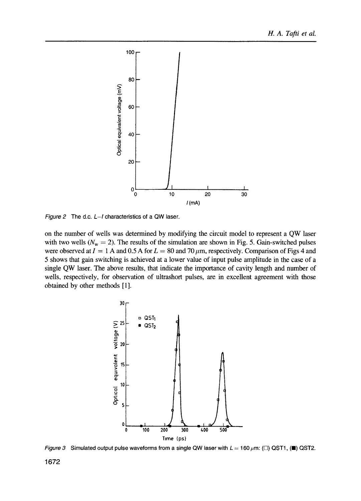

*Figure 2* The d.c. *L-I* characteristics of a QW laser.

on the number of wells was determined by modifying the circuit model to represent a QW laser with two wells ( $N_w = 2$ ). The results of the simulation are shown in Fig. 5. Gain-switched pulses were observed at  $I = 1$  A and 0.5 A for  $L = 80$  and 70  $\mu$ m, respectively. Comparison of Figs 4 and 5 shows that gain switching is achieved at a lower value of input pulse amplitude in the case of a single QW laser. The above results, that indicate the importance of cavity length and number of wells, respectively, for observation of ultrashort pulses, are in excellent agreement with those obtained by other methods [ 1 ].



*Figure 3* Simulated output pulse waveforms from a single QW laser with  $L = 160 \,\mu \text{m}$ : ( $\square$ ) QST1, ( $\square$ ) QST2.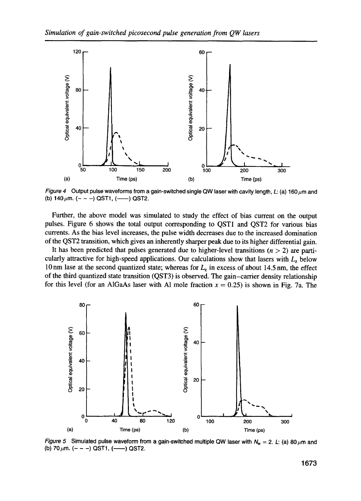

*Figure 4* Output pulse waveforms from a gain-switched single QW laser with cavity length, L: (a) 160  $\mu$ m and (b) 140  $\mu$ m. (- - -) QST1, (--) QST2.

Further, the above model was simulated to study the effect of bias current on the output pulses. Figure 6 shows the total output corresponding to QSTI and QST2 for various bias currents. As the bias level increases, the pulse width decreases due to the increased domination of the QST2 transition, which gives an inherently sharper peak due to its higher differential gain.

It has been predicted that pulses generated due to higher-level transitions  $(n > 2)$  are particularly attractive for high-speed applications. Our calculations show that lasers with  $L<sub>z</sub>$  below 10 nm lase at the second quantized state; whereas for  $L<sub>z</sub>$  in excess of about 14.5 nm, the effect of the third quantized state transition (QST3) is observed. The gain-carrier density relationship for this level (for an AlGaAs laser with Al mole fraction  $x = 0.25$ ) is shown in Fig. 7a. The



*Figure 5* Simulated pulse waveform from a gain-switched multiple QW laser with  $N_w = 2$ . L: (a) 80  $\mu$ m and (b) 70  $\mu$ m. (- - -) QST1, (----) QST2.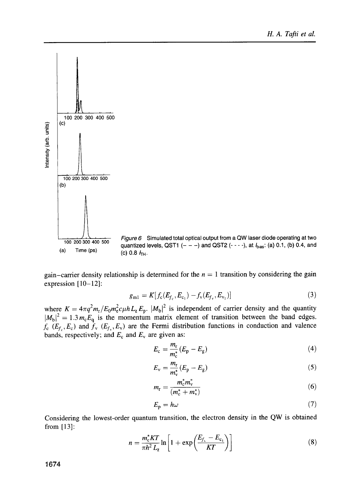

*Figure 6* Simulated total optical output from a QW laser diode operating at two quantized levels, QST1  $(- - -)$  and QST2  $(- - -)$ , at  $I_{bias}$ : (a) 0.1, (b) 0.4, and (c) 0.8  $H_{\text{H}}$ .

gain-carrier density relationship is determined for the  $n = 1$  transition by considering the gain expression  $[10-12]$ :

$$
g_{m1} = K[f_c(E_{f_c}, E_{c_1}) - f_v(E_{f_v}, E_{v_1})]
$$
\n(3)

where  $K = 4\pi q^2 m_r/E_0 m_c^2 c_\mu h L_z E_p$ .  $|M_b|^2$  is independent of carrier density and the quantity  $|M_h|^2 = 1.3 m_c E_0$  is the momentum matrix element of transition between the band edges.  $f_c$  ( $E_f$ ,  $E_c$ ) and  $\dot{f}_v$  ( $E_f$ ,  $E_v$ ) are the Fermi distribution functions in conduction and valence bands, respectively; and  $E_c$  and  $E_v$  are given as:

$$
E_{\rm c} = \frac{m_{\rm r}}{m_{\rm c}^*} (E_{\rm p} - E_{\rm g}) \tag{4}
$$

$$
E_{\rm v} = \frac{m_{\rm r}}{m_{\rm v}^*} (E_{\rm p} - E_{\rm g}) \tag{5}
$$

$$
m_{\rm r} = \frac{m_{\rm c}^* m_{\rm v}^*}{(m_{\rm c}^* + m_{\rm v}^*)} \tag{6}
$$

$$
E_{\rm p} = h\omega \tag{7}
$$

Considering the lowest-order quantum transition, the electron density in the QW is obtained from [13]:

$$
n = \frac{m_c^* KT}{\pi h^2 L_z} \ln \left[ 1 + \exp\left(\frac{E_{f_c} - E_{c_1}}{KT}\right) \right]
$$
 (8)

1674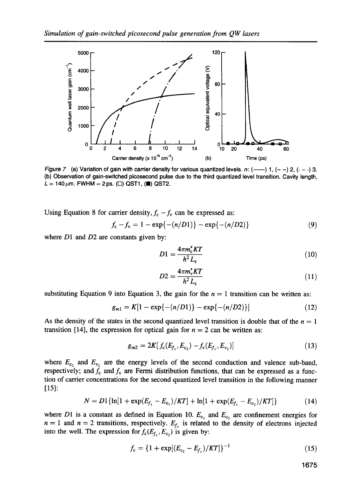

*Figure 7* (a) Variation of gain with carrier density for various quantized levels. n:  $\left(\frac{1}{2}, \frac{1}{2}, \frac{1}{2}, \frac{1}{2}, \frac{1}{2}\right)$  3. (b) Observation of gain-switched picosecond pulse due to the third quantized level transition. Cavity length,  $L = 140 \,\mu \text{m}$ . FWHM = 2ps. ( $\square$ ) QST1, ( $\square$ ) QST2.

Using Equation 8 for carrier density,  $f_c - f_v$  can be expressed as:

$$
f_{c} - f_{v} = 1 - \exp\{-(n/D1)\} - \exp\{-(n/D2)\}\tag{9}
$$

where D1 and D2 are constants given by:

$$
D1 = \frac{4\pi m_c^* KT}{h^2 L_z} \tag{10}
$$

$$
D2 = \frac{4\pi m_v^* KT}{h^2 L_z} \tag{11}
$$

substituting Equation 9 into Equation 3, the gain for the  $n = 1$  transition can be written as:

$$
g_{m1} = K[1 - \exp\{-(n/D1)\} - \exp\{-(n/D2)\}]
$$
 (12)

As the density of the states in the second quantized level transition is double that of the  $n = 1$ transition [14], the expression for optical gain for  $n = 2$  can be written as:

$$
g_{m2} = 2K[f_c(E_{f_c}, E_{c_2}) - f_v(E_{f_v}, E_{v_2})]
$$
\n(13)

where  $E_{c_2}$  and  $E_{v_2}$  are the energy levels of the second conduction and valence sub-band, respectively; and  $f_c$  and  $f_v$  are Fermi distribution functions, that can be expressed as a function of carrier concentrations for the second quantized level transition in the following manner  $[15]$ :

$$
N = D1\{\ln[1 + \exp(E_{f_c} - E_{c_1})/KT] + \ln[1 + \exp(E_{f_c} - E_{c_2})/KT]\}\tag{14}
$$

where D1 is a constant as defined in Equation 10.  $E_{c_1}$  and  $E_{c_2}$  are confinement energies for  $n = 1$  and  $n = 2$  transitions, respectively.  $E_{f_c}$  is related to the density of electrons injected into the well. The expression for  $f_c(E_{f_c}, E_{c_2})$  is given by:

$$
f_{\rm c} = \{1 + \exp[(E_{\rm c_2} - E_{f_{\rm c}})/KT]\}^{-1}
$$
 (15)

1675